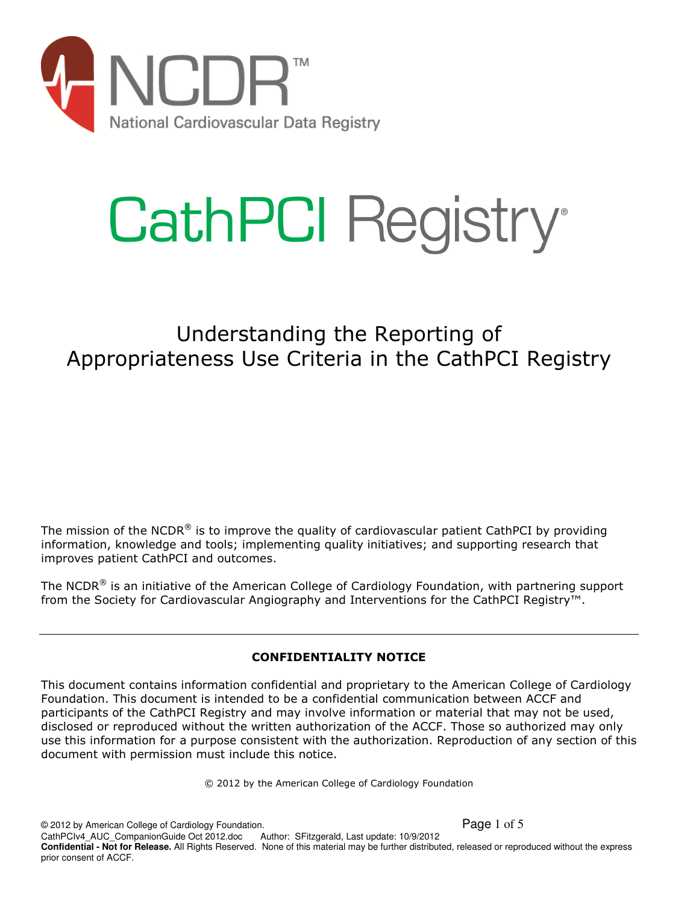

# **CathPCI Registry®**

# Understanding the Reporting of Appropriateness Use Criteria in the CathPCI Registry

The mission of the NCDR<sup>®</sup> is to improve the quality of cardiovascular patient CathPCI by providing information, knowledge and tools; implementing quality initiatives; and supporting research that improves patient CathPCI and outcomes.

The NCDR® is an initiative of the American College of Cardiology Foundation, with partnering support from the Society for Cardiovascular Angiography and Interventions for the CathPCI Registry™.

# **CONFIDENTIALITY NOTICE**

This document contains information confidential and proprietary to the American College of Cardiology Foundation. This document is intended to be a confidential communication between ACCF and participants of the CathPCI Registry and may involve information or material that may not be used, disclosed or reproduced without the written authorization of the ACCF. Those so authorized may only use this information for a purpose consistent with the authorization. Reproduction of any section of this document with permission must include this notice.

© 2012 by the American College of Cardiology Foundation

© 2012 by American College of Cardiology Foundation. Page 1 of 5 CathPCIv4\_AUC\_CompanionGuide Oct 2012.doc Author: SFitzgerald, Last update: 10/9/2012 **Confidential - Not for Release.** All Rights Reserved. None of this material may be further distributed, released or reproduced without the express prior consent of ACCF.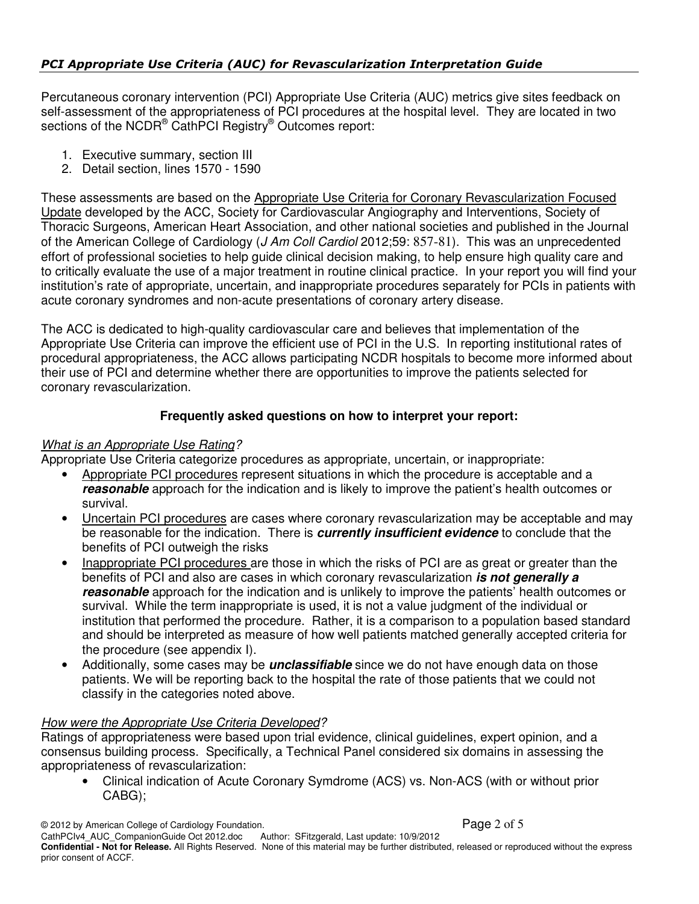Percutaneous coronary intervention (PCI) Appropriate Use Criteria (AUC) metrics give sites feedback on self-assessment of the appropriateness of PCI procedures at the hospital level. They are located in two sections of the NCDR® CathPCI Registry® Outcomes report:

- 1. Executive summary, section III
- 2. Detail section, lines 1570 1590

These assessments are based on the Appropriate Use Criteria for Coronary Revascularization Focused Update developed by the ACC, Society for Cardiovascular Angiography and Interventions, Society of Thoracic Surgeons, American Heart Association, and other national societies and published in the Journal of the American College of Cardiology (J Am Coll Cardiol 2012;59: 857-81). This was an unprecedented effort of professional societies to help guide clinical decision making, to help ensure high quality care and to critically evaluate the use of a major treatment in routine clinical practice. In your report you will find your institution's rate of appropriate, uncertain, and inappropriate procedures separately for PCIs in patients with acute coronary syndromes and non-acute presentations of coronary artery disease.

The ACC is dedicated to high-quality cardiovascular care and believes that implementation of the Appropriate Use Criteria can improve the efficient use of PCI in the U.S. In reporting institutional rates of procedural appropriateness, the ACC allows participating NCDR hospitals to become more informed about their use of PCI and determine whether there are opportunities to improve the patients selected for coronary revascularization.

# **Frequently asked questions on how to interpret your report:**

# What is an Appropriate Use Rating?

Appropriate Use Criteria categorize procedures as appropriate, uncertain, or inappropriate:

- Appropriate PCI procedures represent situations in which the procedure is acceptable and a **reasonable** approach for the indication and is likely to improve the patient's health outcomes or survival.
- Uncertain PCI procedures are cases where coronary revascularization may be acceptable and may be reasonable for the indication. There is **currently insufficient evidence** to conclude that the benefits of PCI outweigh the risks
- Inappropriate PCI procedures are those in which the risks of PCI are as great or greater than the benefits of PCI and also are cases in which coronary revascularization **is not generally a reasonable** approach for the indication and is unlikely to improve the patients' health outcomes or survival. While the term inappropriate is used, it is not a value judgment of the individual or institution that performed the procedure. Rather, it is a comparison to a population based standard and should be interpreted as measure of how well patients matched generally accepted criteria for the procedure (see appendix I).
- Additionally, some cases may be **unclassifiable** since we do not have enough data on those patients. We will be reporting back to the hospital the rate of those patients that we could not classify in the categories noted above.

# How were the Appropriate Use Criteria Developed?

Ratings of appropriateness were based upon trial evidence, clinical guidelines, expert opinion, and a consensus building process. Specifically, a Technical Panel considered six domains in assessing the appropriateness of revascularization:

• Clinical indication of Acute Coronary Symdrome (ACS) vs. Non-ACS (with or without prior CABG);

© 2012 by American College of Cardiology Foundation. Page 2 of 5 CathPCIv4\_AUC\_CompanionGuide Oct 2012.doc **Confidential - Not for Release.** All Rights Reserved. None of this material may be further distributed, released or reproduced without the express prior consent of ACCF.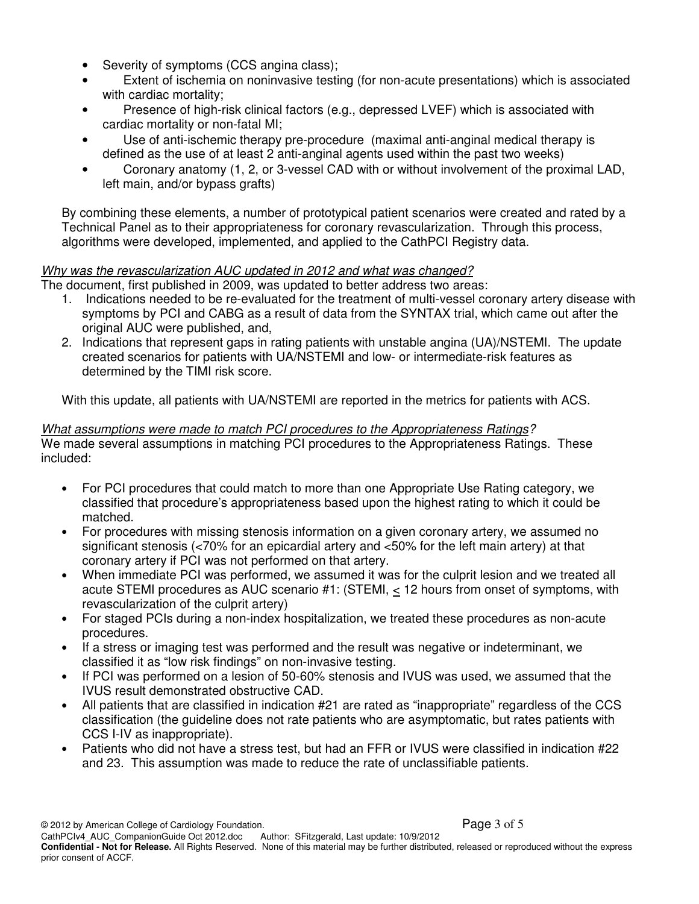- Severity of symptoms (CCS angina class);
- Extent of ischemia on noninvasive testing (for non-acute presentations) which is associated with cardiac mortality;
- Presence of high-risk clinical factors (e.g., depressed LVEF) which is associated with cardiac mortality or non-fatal MI;
- Use of anti-ischemic therapy pre-procedure (maximal anti-anginal medical therapy is defined as the use of at least 2 anti-anginal agents used within the past two weeks)
- Coronary anatomy (1, 2, or 3-vessel CAD with or without involvement of the proximal LAD, left main, and/or bypass grafts)

By combining these elements, a number of prototypical patient scenarios were created and rated by a Technical Panel as to their appropriateness for coronary revascularization. Through this process, algorithms were developed, implemented, and applied to the CathPCI Registry data.

# Why was the revascularization AUC updated in 2012 and what was changed?

The document, first published in 2009, was updated to better address two areas:

- 1. Indications needed to be re-evaluated for the treatment of multi-vessel coronary artery disease with symptoms by PCI and CABG as a result of data from the SYNTAX trial, which came out after the original AUC were published, and,
- 2. Indications that represent gaps in rating patients with unstable angina (UA)/NSTEMI. The update created scenarios for patients with UA/NSTEMI and low- or intermediate-risk features as determined by the TIMI risk score.

With this update, all patients with UA/NSTEMI are reported in the metrics for patients with ACS.

# What assumptions were made to match PCI procedures to the Appropriateness Ratings?

We made several assumptions in matching PCI procedures to the Appropriateness Ratings. These included:

- For PCI procedures that could match to more than one Appropriate Use Rating category, we classified that procedure's appropriateness based upon the highest rating to which it could be matched.
- For procedures with missing stenosis information on a given coronary artery, we assumed no significant stenosis (<70% for an epicardial artery and <50% for the left main artery) at that coronary artery if PCI was not performed on that artery.
- When immediate PCI was performed, we assumed it was for the culprit lesion and we treated all acute STEMI procedures as AUC scenario #1: (STEMI, < 12 hours from onset of symptoms, with revascularization of the culprit artery)
- For staged PCIs during a non-index hospitalization, we treated these procedures as non-acute procedures.
- If a stress or imaging test was performed and the result was negative or indeterminant, we classified it as "low risk findings" on non-invasive testing.
- If PCI was performed on a lesion of 50-60% stenosis and IVUS was used, we assumed that the IVUS result demonstrated obstructive CAD.
- All patients that are classified in indication #21 are rated as "inappropriate" regardless of the CCS classification (the guideline does not rate patients who are asymptomatic, but rates patients with CCS I-IV as inappropriate).
- Patients who did not have a stress test, but had an FFR or IVUS were classified in indication #22 and 23. This assumption was made to reduce the rate of unclassifiable patients.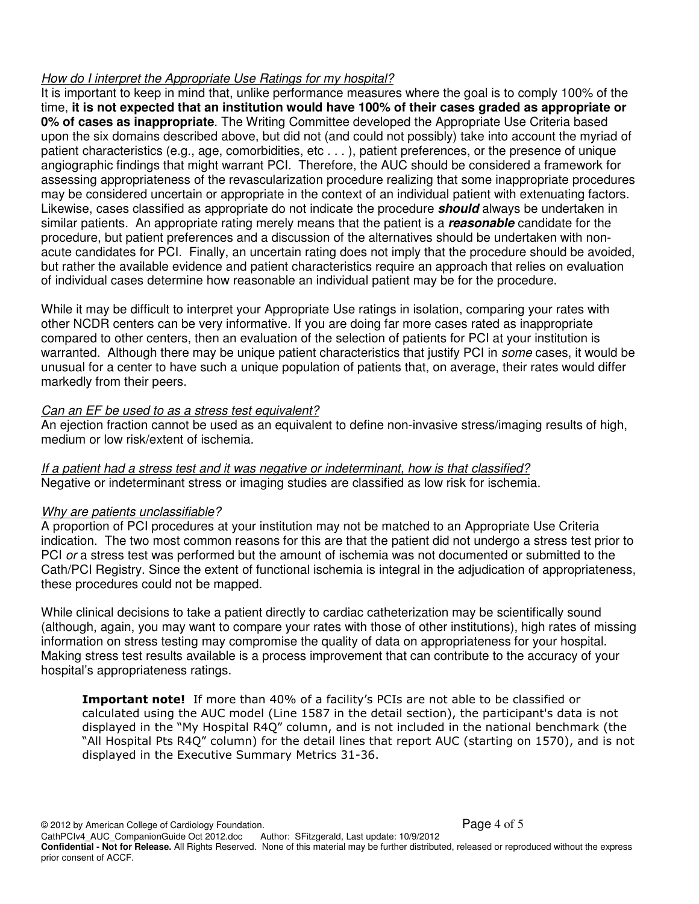# How do I interpret the Appropriate Use Ratings for my hospital?

It is important to keep in mind that, unlike performance measures where the goal is to comply 100% of the time, **it is not expected that an institution would have 100% of their cases graded as appropriate or 0% of cases as inappropriate**. The Writing Committee developed the Appropriate Use Criteria based upon the six domains described above, but did not (and could not possibly) take into account the myriad of patient characteristics (e.g., age, comorbidities, etc . . . ), patient preferences, or the presence of unique angiographic findings that might warrant PCI. Therefore, the AUC should be considered a framework for assessing appropriateness of the revascularization procedure realizing that some inappropriate procedures may be considered uncertain or appropriate in the context of an individual patient with extenuating factors. Likewise, cases classified as appropriate do not indicate the procedure **should** always be undertaken in similar patients. An appropriate rating merely means that the patient is a **reasonable** candidate for the procedure, but patient preferences and a discussion of the alternatives should be undertaken with nonacute candidates for PCI. Finally, an uncertain rating does not imply that the procedure should be avoided, but rather the available evidence and patient characteristics require an approach that relies on evaluation of individual cases determine how reasonable an individual patient may be for the procedure.

While it may be difficult to interpret your Appropriate Use ratings in isolation, comparing your rates with other NCDR centers can be very informative. If you are doing far more cases rated as inappropriate compared to other centers, then an evaluation of the selection of patients for PCI at your institution is warranted. Although there may be unique patient characteristics that justify PCI in some cases, it would be unusual for a center to have such a unique population of patients that, on average, their rates would differ markedly from their peers.

# Can an EF be used to as a stress test equivalent?

An ejection fraction cannot be used as an equivalent to define non-invasive stress/imaging results of high, medium or low risk/extent of ischemia.

If a patient had a stress test and it was negative or indeterminant, how is that classified? Negative or indeterminant stress or imaging studies are classified as low risk for ischemia.

# Why are patients unclassifiable?

A proportion of PCI procedures at your institution may not be matched to an Appropriate Use Criteria indication. The two most common reasons for this are that the patient did not undergo a stress test prior to PCI or a stress test was performed but the amount of ischemia was not documented or submitted to the Cath/PCI Registry. Since the extent of functional ischemia is integral in the adjudication of appropriateness, these procedures could not be mapped.

While clinical decisions to take a patient directly to cardiac catheterization may be scientifically sound (although, again, you may want to compare your rates with those of other institutions), high rates of missing information on stress testing may compromise the quality of data on appropriateness for your hospital. Making stress test results available is a process improvement that can contribute to the accuracy of your hospital's appropriateness ratings.

**Important note!** If more than 40% of a facility's PCIs are not able to be classified or calculated using the AUC model (Line 1587 in the detail section), the participant's data is not displayed in the "My Hospital R4Q" column, and is not included in the national benchmark (the "All Hospital Pts R4Q" column) for the detail lines that report AUC (starting on 1570), and is not displayed in the Executive Summary Metrics 31-36.